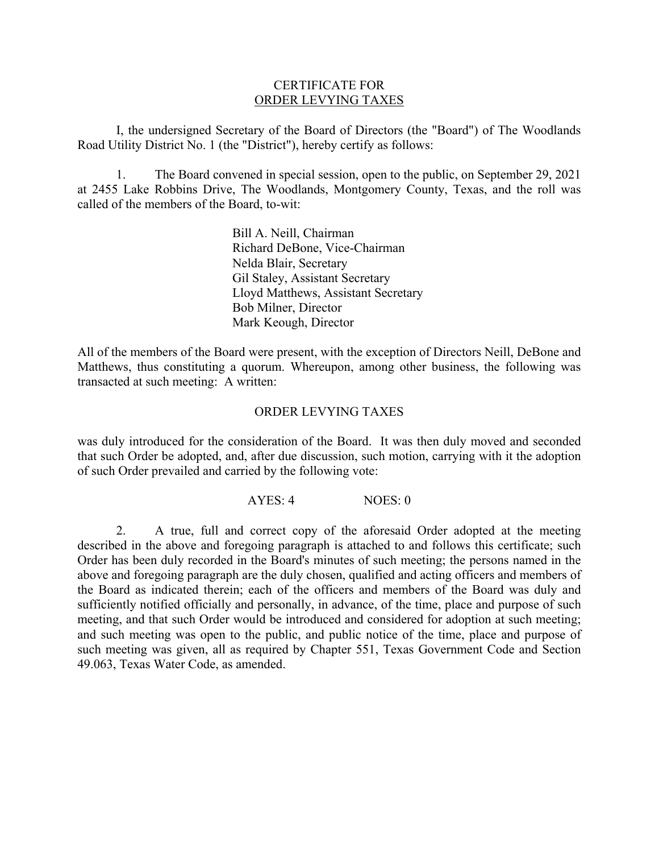## CERTIFICATE FOR ORDER LEVYING TAXES

 I, the undersigned Secretary of the Board of Directors (the "Board") of The Woodlands Road Utility District No. 1 (the "District"), hereby certify as follows:

 1. The Board convened in special session, open to the public, on September 29, 2021 at 2455 Lake Robbins Drive, The Woodlands, Montgomery County, Texas, and the roll was called of the members of the Board, to-wit:

> Bill A. Neill, Chairman Richard DeBone, Vice-Chairman Nelda Blair, Secretary Gil Staley, Assistant Secretary Lloyd Matthews, Assistant Secretary Bob Milner, Director Mark Keough, Director

All of the members of the Board were present, with the exception of Directors Neill, DeBone and Matthews, thus constituting a quorum. Whereupon, among other business, the following was transacted at such meeting: A written:

## ORDER LEVYING TAXES

was duly introduced for the consideration of the Board. It was then duly moved and seconded that such Order be adopted, and, after due discussion, such motion, carrying with it the adoption of such Order prevailed and carried by the following vote:

## AYES: 4 NOES: 0

 2. A true, full and correct copy of the aforesaid Order adopted at the meeting described in the above and foregoing paragraph is attached to and follows this certificate; such Order has been duly recorded in the Board's minutes of such meeting; the persons named in the above and foregoing paragraph are the duly chosen, qualified and acting officers and members of the Board as indicated therein; each of the officers and members of the Board was duly and sufficiently notified officially and personally, in advance, of the time, place and purpose of such meeting, and that such Order would be introduced and considered for adoption at such meeting; and such meeting was open to the public, and public notice of the time, place and purpose of such meeting was given, all as required by Chapter 551, Texas Government Code and Section 49.063, Texas Water Code, as amended.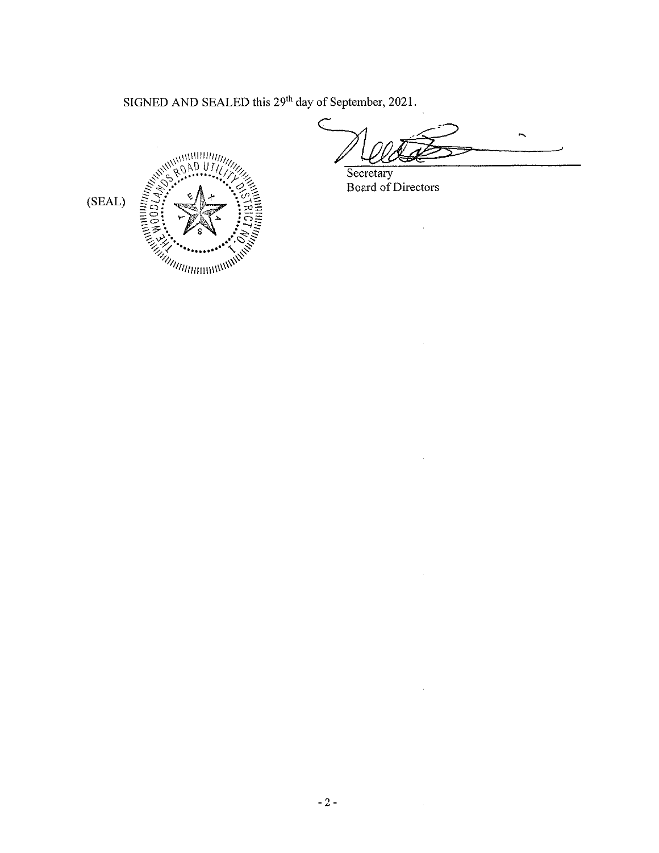SIGNED AND SEALED this 29<sup>th</sup> day of September, 2021.



سنم  $\ddot{\phantom{1}}$ 

Secretary<br>Board of Directors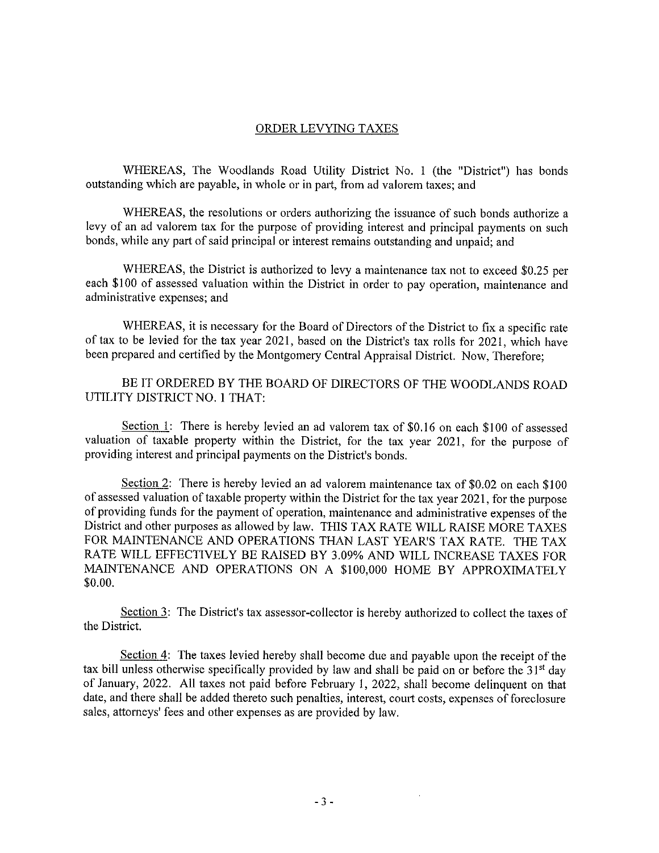## ORDER LEVYING TAXES

WHEREAS, The Woodlands Road Utility District No. 1 (the "District") has bonds outstanding which are payable, in whole or in part, from ad valorem taxes; and

WHEREAS, the resolutions or orders authorizing the issuance of such bonds authorize a levy of an ad valorem tax for the purpose of providing interest and principal payments on such bonds, while any part of said principal or interest remains outstanding and unpaid; and

WHEREAS, the District is authorized to levy a maintenance tax not to exceed \$0.25 per each \$100 of assessed valuation within the District in order to pay operation, maintenance and administrative expenses; and

WHEREAS, it is necessary for the Board of Directors of the District to fix a specific rate of tax to be levied for the tax year 2021, based on the District's tax rolls for 2021, which have been prepared and certified by the Montgomery Central Appraisal District. Now, Therefore;

BE IT ORDERED BY THE BOARD OF DIRECTORS OF THE WOODLANDS ROAD UTILITY DISTRICT NO. 1 THAT:

Section 1: There is hereby levied an ad valorem tax of \$0.16 on each \$100 of assessed valuation of taxable property within the District, for the tax year 2021, for the purpose of providing interest and principal payments on the District's bonds.

Section 2: There is hereby levied an ad valorem maintenance tax of  $$0.02$  on each  $$100$ of assessed valuation of taxable property within the District for the tax year 2021, for the purpose of providing funds for the payment of operation, maintenance and administrative expenses of the District and other purposes as allowed by law. THIS TAX RATE WILL RAISE MORE TAXES FOR MAINTENANCE AND OPERATIONS THAN LAST YEAR'S TAX RATE. THE TAX RATE WILL EFFECTIVELY BE RAISED BY 3.09% AND WILL INCREASE TAXES FOR MAINTENANCE AND OPERATIONS ON A \$100,000 HOME BY APPROXIMATELY  $$0.00.$ 

Section  $3$ : The District's tax assessor-collector is hereby authorized to collect the taxes of the District.

Section 4: The taxes levied hereby shall become due and payable upon the receipt of the tax bill unless otherwise specifically provided by law and shall be paid on or before the 31<sup>st</sup> day of January, 2022. All taxes not paid before February 1, 2022, shall become delinquent on that date, and there shall be added thereto such penalties, interest, court costs, expenses of foreclosure sales, attorneys' fees and other expenses as are provided by law.